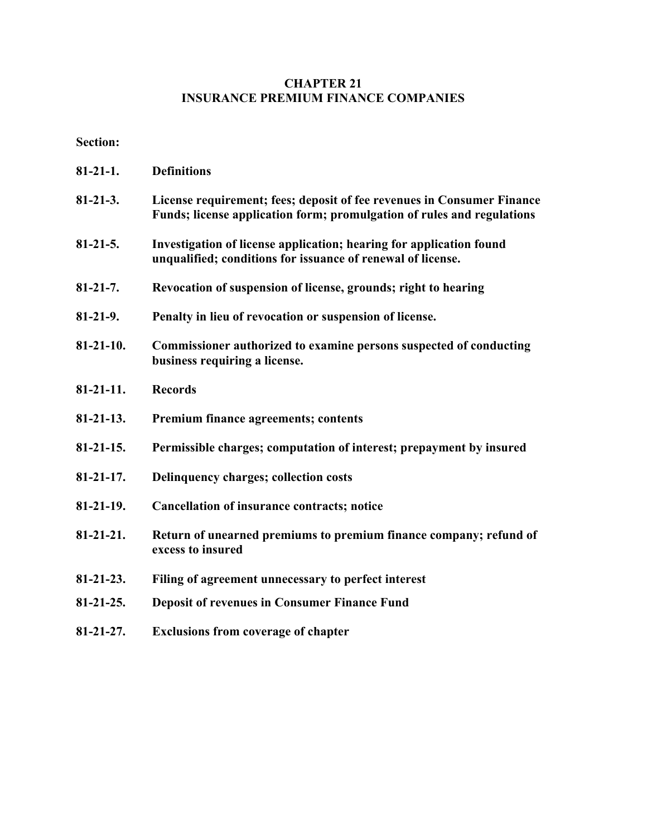### **CHAPTER 21 INSURANCE PREMIUM FINANCE COMPANIES**

# **Section:**

| $81-21-1.$       | <b>Definitions</b>                                                                                                                               |
|------------------|--------------------------------------------------------------------------------------------------------------------------------------------------|
| $81 - 21 - 3.$   | License requirement; fees; deposit of fee revenues in Consumer Finance<br>Funds; license application form; promulgation of rules and regulations |
| $81 - 21 - 5.$   | Investigation of license application; hearing for application found<br>unqualified; conditions for issuance of renewal of license.               |
| $81 - 21 - 7$ .  | Revocation of suspension of license, grounds; right to hearing                                                                                   |
| $81-21-9.$       | Penalty in lieu of revocation or suspension of license.                                                                                          |
| $81 - 21 - 10.$  | Commissioner authorized to examine persons suspected of conducting<br>business requiring a license.                                              |
| $81-21-11.$      | <b>Records</b>                                                                                                                                   |
| $81 - 21 - 13.$  | Premium finance agreements; contents                                                                                                             |
| $81 - 21 - 15.$  | Permissible charges; computation of interest; prepayment by insured                                                                              |
| $81 - 21 - 17$ . | Delinquency charges; collection costs                                                                                                            |
| $81 - 21 - 19$ . | <b>Cancellation of insurance contracts; notice</b>                                                                                               |
| $81 - 21 - 21$ . | Return of unearned premiums to premium finance company; refund of<br>excess to insured                                                           |
| $81 - 21 - 23.$  | Filing of agreement unnecessary to perfect interest                                                                                              |
| $81 - 21 - 25.$  | <b>Deposit of revenues in Consumer Finance Fund</b>                                                                                              |
| $81 - 21 - 27$ . | <b>Exclusions from coverage of chapter</b>                                                                                                       |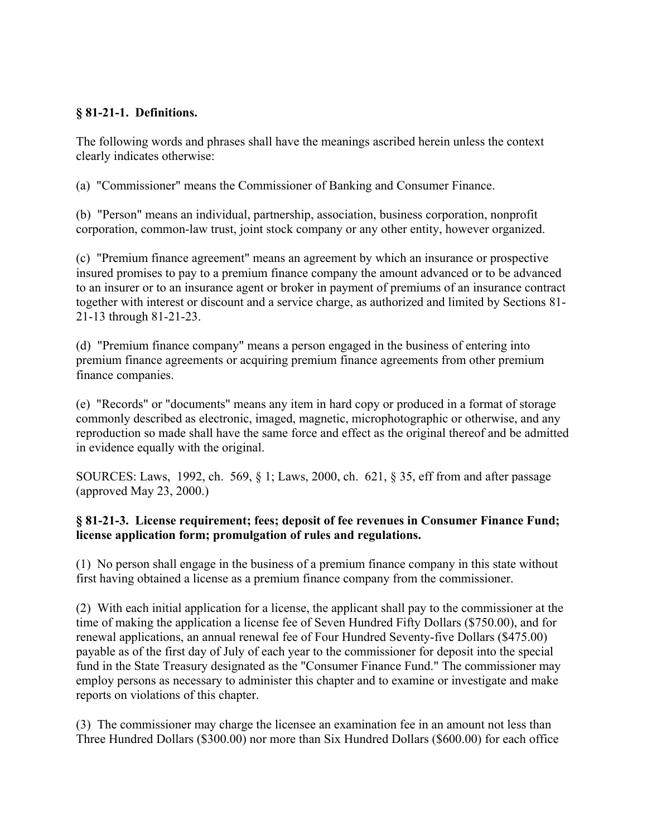#### **§ 81-21-1. Definitions.**

The following words and phrases shall have the meanings ascribed herein unless the context clearly indicates otherwise:

(a) "Commissioner" means the Commissioner of Banking and Consumer Finance.

(b) "Person" means an individual, partnership, association, business corporation, nonprofit corporation, common-law trust, joint stock company or any other entity, however organized.

(c) "Premium finance agreement" means an agreement by which an insurance or prospective insured promises to pay to a premium finance company the amount advanced or to be advanced to an insurer or to an insurance agent or broker in payment of premiums of an insurance contract together with interest or discount and a service charge, as authorized and limited by Sections 81- 21-13 through 81-21-23.

(d) "Premium finance company" means a person engaged in the business of entering into premium finance agreements or acquiring premium finance agreements from other premium finance companies.

(e) "Records" or "documents" means any item in hard copy or produced in a format of storage commonly described as electronic, imaged, magnetic, microphotographic or otherwise, and any reproduction so made shall have the same force and effect as the original thereof and be admitted in evidence equally with the original.

SOURCES: Laws, 1992, ch. 569, § 1; Laws, 2000, ch. 621, § 35, eff from and after passage (approved May 23, 2000.)

#### **§ 81-21-3. License requirement; fees; deposit of fee revenues in Consumer Finance Fund; license application form; promulgation of rules and regulations.**

(1) No person shall engage in the business of a premium finance company in this state without first having obtained a license as a premium finance company from the commissioner.

(2) With each initial application for a license, the applicant shall pay to the commissioner at the time of making the application a license fee of Seven Hundred Fifty Dollars (\$750.00), and for renewal applications, an annual renewal fee of Four Hundred Seventy-five Dollars (\$475.00) payable as of the first day of July of each year to the commissioner for deposit into the special fund in the State Treasury designated as the "Consumer Finance Fund." The commissioner may employ persons as necessary to administer this chapter and to examine or investigate and make reports on violations of this chapter.

(3) The commissioner may charge the licensee an examination fee in an amount not less than Three Hundred Dollars (\$300.00) nor more than Six Hundred Dollars (\$600.00) for each office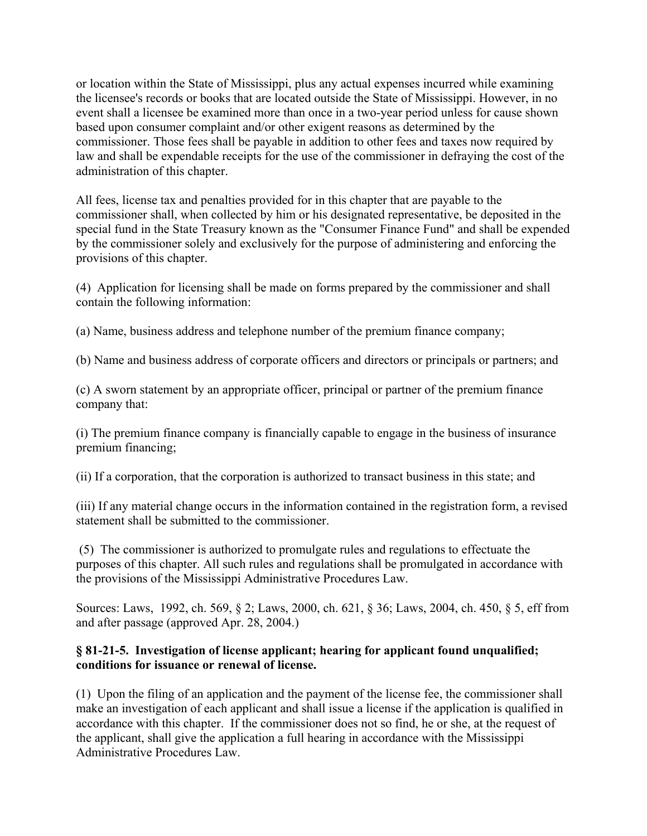or location within the State of Mississippi, plus any actual expenses incurred while examining the licensee's records or books that are located outside the State of Mississippi. However, in no event shall a licensee be examined more than once in a two-year period unless for cause shown based upon consumer complaint and/or other exigent reasons as determined by the commissioner. Those fees shall be payable in addition to other fees and taxes now required by law and shall be expendable receipts for the use of the commissioner in defraying the cost of the administration of this chapter.

All fees, license tax and penalties provided for in this chapter that are payable to the commissioner shall, when collected by him or his designated representative, be deposited in the special fund in the State Treasury known as the "Consumer Finance Fund" and shall be expended by the commissioner solely and exclusively for the purpose of administering and enforcing the provisions of this chapter.

(4) Application for licensing shall be made on forms prepared by the commissioner and shall contain the following information:

(a) Name, business address and telephone number of the premium finance company;

(b) Name and business address of corporate officers and directors or principals or partners; and

(c) A sworn statement by an appropriate officer, principal or partner of the premium finance company that:

(i) The premium finance company is financially capable to engage in the business of insurance premium financing;

(ii) If a corporation, that the corporation is authorized to transact business in this state; and

(iii) If any material change occurs in the information contained in the registration form, a revised statement shall be submitted to the commissioner.

 (5) The commissioner is authorized to promulgate rules and regulations to effectuate the purposes of this chapter. All such rules and regulations shall be promulgated in accordance with the provisions of the Mississippi Administrative Procedures Law.

Sources: Laws, 1992, ch. 569, § 2; Laws, 2000, ch. 621, § 36; Laws, 2004, ch. 450, § 5, eff from and after passage (approved Apr. 28, 2004.)

### **§ 81-21-5. Investigation of license applicant; hearing for applicant found unqualified; conditions for issuance or renewal of license.**

(1) Upon the filing of an application and the payment of the license fee, the commissioner shall make an investigation of each applicant and shall issue a license if the application is qualified in accordance with this chapter. If the commissioner does not so find, he or she, at the request of the applicant, shall give the application a full hearing in accordance with the Mississippi Administrative Procedures Law.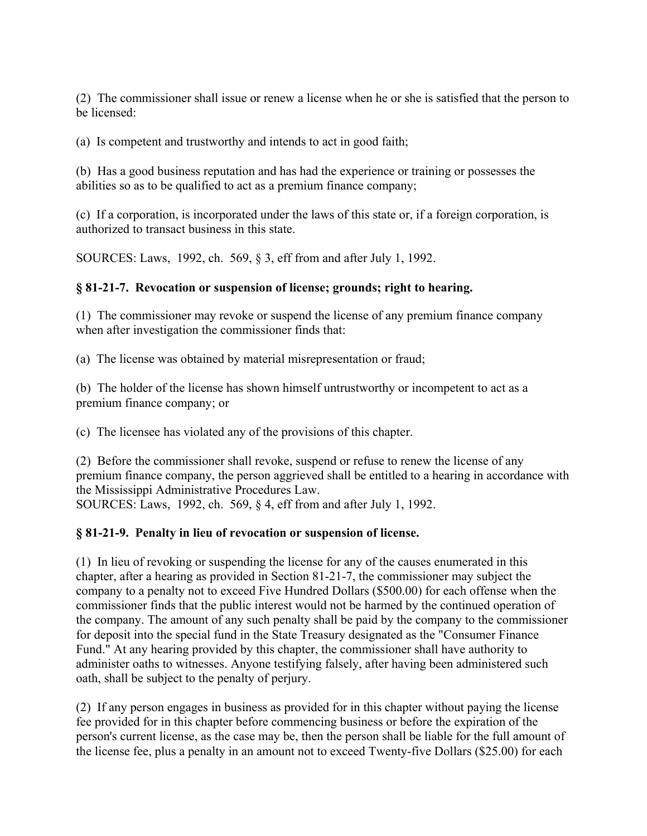(2) The commissioner shall issue or renew a license when he or she is satisfied that the person to be licensed:

(a) Is competent and trustworthy and intends to act in good faith;

(b) Has a good business reputation and has had the experience or training or possesses the abilities so as to be qualified to act as a premium finance company;

(c) If a corporation, is incorporated under the laws of this state or, if a foreign corporation, is authorized to transact business in this state.

SOURCES: Laws, 1992, ch. 569, § 3, eff from and after July 1, 1992.

# **§ 81-21-7. Revocation or suspension of license; grounds; right to hearing.**

(1) The commissioner may revoke or suspend the license of any premium finance company when after investigation the commissioner finds that:

(a) The license was obtained by material misrepresentation or fraud;

(b) The holder of the license has shown himself untrustworthy or incompetent to act as a premium finance company; or

(c) The licensee has violated any of the provisions of this chapter.

(2) Before the commissioner shall revoke, suspend or refuse to renew the license of any premium finance company, the person aggrieved shall be entitled to a hearing in accordance with the Mississippi Administrative Procedures Law. SOURCES: Laws, 1992, ch. 569, § 4, eff from and after July 1, 1992.

# **§ 81-21-9. Penalty in lieu of revocation or suspension of license.**

(1) In lieu of revoking or suspending the license for any of the causes enumerated in this chapter, after a hearing as provided in Section 81-21-7, the commissioner may subject the company to a penalty not to exceed Five Hundred Dollars (\$500.00) for each offense when the commissioner finds that the public interest would not be harmed by the continued operation of the company. The amount of any such penalty shall be paid by the company to the commissioner for deposit into the special fund in the State Treasury designated as the "Consumer Finance Fund." At any hearing provided by this chapter, the commissioner shall have authority to administer oaths to witnesses. Anyone testifying falsely, after having been administered such oath, shall be subject to the penalty of perjury.

(2) If any person engages in business as provided for in this chapter without paying the license fee provided for in this chapter before commencing business or before the expiration of the person's current license, as the case may be, then the person shall be liable for the full amount of the license fee, plus a penalty in an amount not to exceed Twenty-five Dollars (\$25.00) for each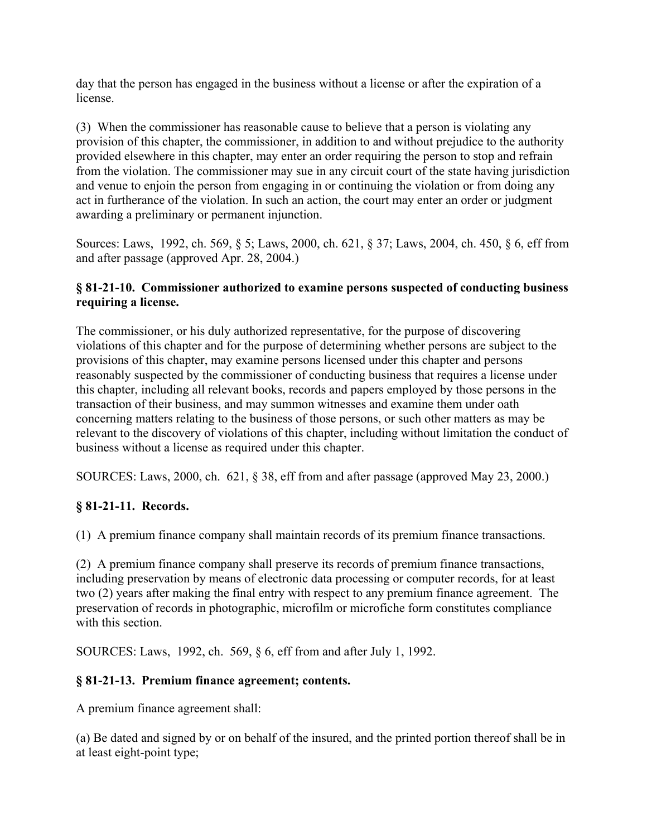day that the person has engaged in the business without a license or after the expiration of a license.

(3) When the commissioner has reasonable cause to believe that a person is violating any provision of this chapter, the commissioner, in addition to and without prejudice to the authority provided elsewhere in this chapter, may enter an order requiring the person to stop and refrain from the violation. The commissioner may sue in any circuit court of the state having jurisdiction and venue to enjoin the person from engaging in or continuing the violation or from doing any act in furtherance of the violation. In such an action, the court may enter an order or judgment awarding a preliminary or permanent injunction.

Sources: Laws, 1992, ch. 569, § 5; Laws, 2000, ch. 621, § 37; Laws, 2004, ch. 450, § 6, eff from and after passage (approved Apr. 28, 2004.)

### **§ 81-21-10. Commissioner authorized to examine persons suspected of conducting business requiring a license.**

The commissioner, or his duly authorized representative, for the purpose of discovering violations of this chapter and for the purpose of determining whether persons are subject to the provisions of this chapter, may examine persons licensed under this chapter and persons reasonably suspected by the commissioner of conducting business that requires a license under this chapter, including all relevant books, records and papers employed by those persons in the transaction of their business, and may summon witnesses and examine them under oath concerning matters relating to the business of those persons, or such other matters as may be relevant to the discovery of violations of this chapter, including without limitation the conduct of business without a license as required under this chapter.

SOURCES: Laws, 2000, ch. 621, § 38, eff from and after passage (approved May 23, 2000.)

# **§ 81-21-11. Records.**

(1) A premium finance company shall maintain records of its premium finance transactions.

(2) A premium finance company shall preserve its records of premium finance transactions, including preservation by means of electronic data processing or computer records, for at least two (2) years after making the final entry with respect to any premium finance agreement. The preservation of records in photographic, microfilm or microfiche form constitutes compliance with this section.

SOURCES: Laws, 1992, ch. 569, § 6, eff from and after July 1, 1992.

### **§ 81-21-13. Premium finance agreement; contents.**

A premium finance agreement shall:

(a) Be dated and signed by or on behalf of the insured, and the printed portion thereof shall be in at least eight-point type;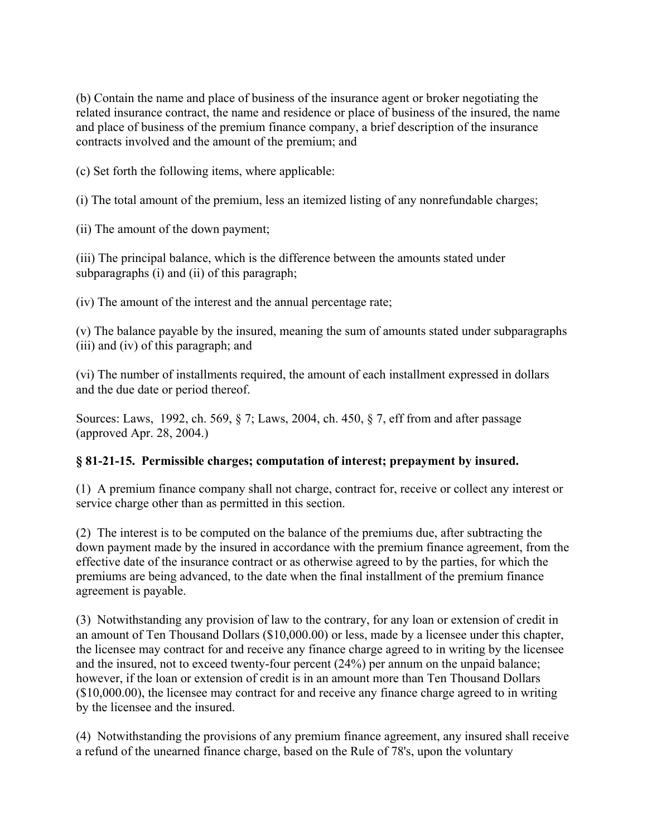(b) Contain the name and place of business of the insurance agent or broker negotiating the related insurance contract, the name and residence or place of business of the insured, the name and place of business of the premium finance company, a brief description of the insurance contracts involved and the amount of the premium; and

(c) Set forth the following items, where applicable:

(i) The total amount of the premium, less an itemized listing of any nonrefundable charges;

(ii) The amount of the down payment;

(iii) The principal balance, which is the difference between the amounts stated under subparagraphs (i) and (ii) of this paragraph;

(iv) The amount of the interest and the annual percentage rate;

(v) The balance payable by the insured, meaning the sum of amounts stated under subparagraphs (iii) and (iv) of this paragraph; and

(vi) The number of installments required, the amount of each installment expressed in dollars and the due date or period thereof.

Sources: Laws, 1992, ch. 569, § 7; Laws, 2004, ch. 450, § 7, eff from and after passage (approved Apr. 28, 2004.)

# **§ 81-21-15. Permissible charges; computation of interest; prepayment by insured.**

(1) A premium finance company shall not charge, contract for, receive or collect any interest or service charge other than as permitted in this section.

(2) The interest is to be computed on the balance of the premiums due, after subtracting the down payment made by the insured in accordance with the premium finance agreement, from the effective date of the insurance contract or as otherwise agreed to by the parties, for which the premiums are being advanced, to the date when the final installment of the premium finance agreement is payable.

(3) Notwithstanding any provision of law to the contrary, for any loan or extension of credit in an amount of Ten Thousand Dollars (\$10,000.00) or less, made by a licensee under this chapter, the licensee may contract for and receive any finance charge agreed to in writing by the licensee and the insured, not to exceed twenty-four percent (24%) per annum on the unpaid balance; however, if the loan or extension of credit is in an amount more than Ten Thousand Dollars (\$10,000.00), the licensee may contract for and receive any finance charge agreed to in writing by the licensee and the insured.

(4) Notwithstanding the provisions of any premium finance agreement, any insured shall receive a refund of the unearned finance charge, based on the Rule of 78's, upon the voluntary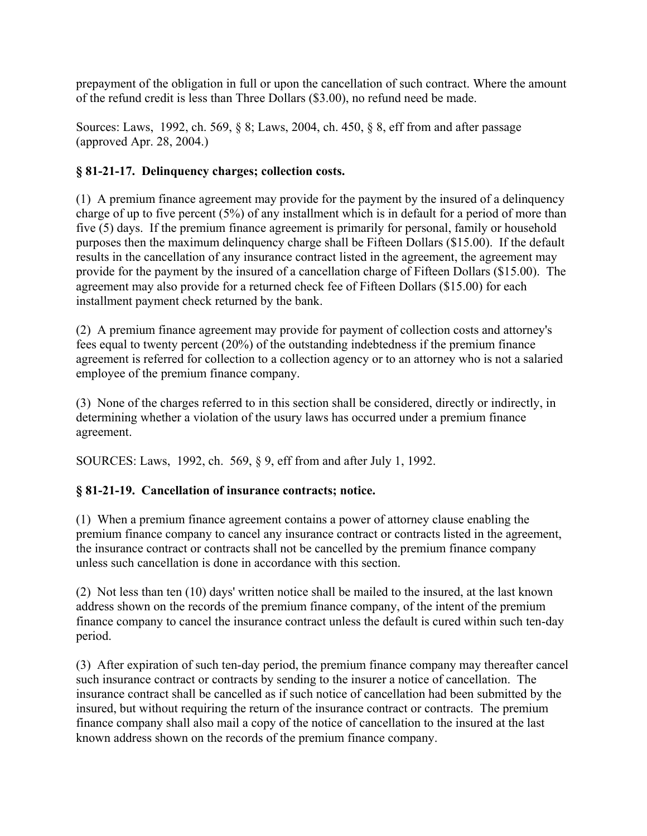prepayment of the obligation in full or upon the cancellation of such contract. Where the amount of the refund credit is less than Three Dollars (\$3.00), no refund need be made.

Sources: Laws, 1992, ch. 569, § 8; Laws, 2004, ch. 450, § 8, eff from and after passage (approved Apr. 28, 2004.)

### **§ 81-21-17. Delinquency charges; collection costs.**

(1) A premium finance agreement may provide for the payment by the insured of a delinquency charge of up to five percent (5%) of any installment which is in default for a period of more than five (5) days. If the premium finance agreement is primarily for personal, family or household purposes then the maximum delinquency charge shall be Fifteen Dollars (\$15.00). If the default results in the cancellation of any insurance contract listed in the agreement, the agreement may provide for the payment by the insured of a cancellation charge of Fifteen Dollars (\$15.00). The agreement may also provide for a returned check fee of Fifteen Dollars (\$15.00) for each installment payment check returned by the bank.

(2) A premium finance agreement may provide for payment of collection costs and attorney's fees equal to twenty percent (20%) of the outstanding indebtedness if the premium finance agreement is referred for collection to a collection agency or to an attorney who is not a salaried employee of the premium finance company.

(3) None of the charges referred to in this section shall be considered, directly or indirectly, in determining whether a violation of the usury laws has occurred under a premium finance agreement.

SOURCES: Laws, 1992, ch. 569, § 9, eff from and after July 1, 1992.

### **§ 81-21-19. Cancellation of insurance contracts; notice.**

(1) When a premium finance agreement contains a power of attorney clause enabling the premium finance company to cancel any insurance contract or contracts listed in the agreement, the insurance contract or contracts shall not be cancelled by the premium finance company unless such cancellation is done in accordance with this section.

(2) Not less than ten (10) days' written notice shall be mailed to the insured, at the last known address shown on the records of the premium finance company, of the intent of the premium finance company to cancel the insurance contract unless the default is cured within such ten-day period.

(3) After expiration of such ten-day period, the premium finance company may thereafter cancel such insurance contract or contracts by sending to the insurer a notice of cancellation. The insurance contract shall be cancelled as if such notice of cancellation had been submitted by the insured, but without requiring the return of the insurance contract or contracts. The premium finance company shall also mail a copy of the notice of cancellation to the insured at the last known address shown on the records of the premium finance company.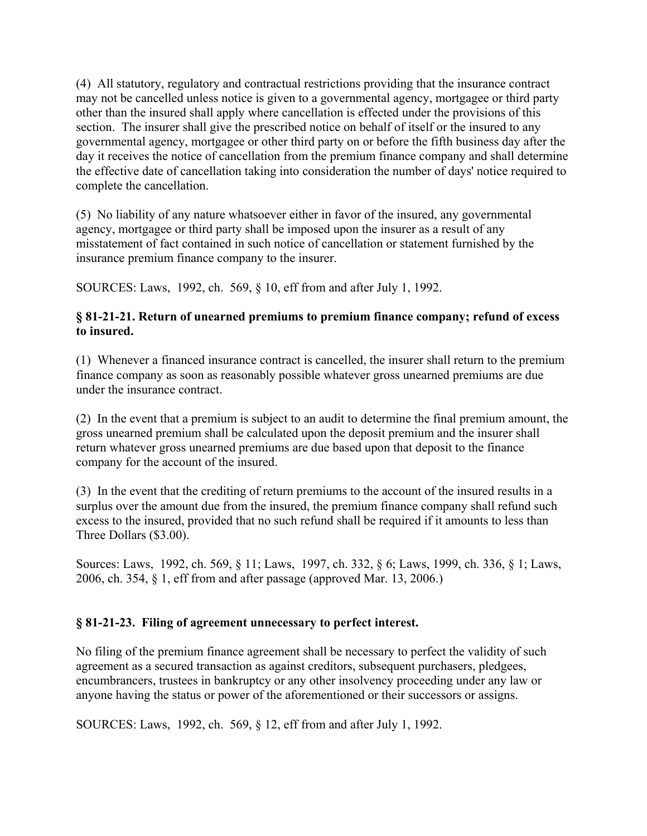(4) All statutory, regulatory and contractual restrictions providing that the insurance contract may not be cancelled unless notice is given to a governmental agency, mortgagee or third party other than the insured shall apply where cancellation is effected under the provisions of this section. The insurer shall give the prescribed notice on behalf of itself or the insured to any governmental agency, mortgagee or other third party on or before the fifth business day after the day it receives the notice of cancellation from the premium finance company and shall determine the effective date of cancellation taking into consideration the number of days' notice required to complete the cancellation.

(5) No liability of any nature whatsoever either in favor of the insured, any governmental agency, mortgagee or third party shall be imposed upon the insurer as a result of any misstatement of fact contained in such notice of cancellation or statement furnished by the insurance premium finance company to the insurer.

SOURCES: Laws, 1992, ch. 569, § 10, eff from and after July 1, 1992.

### **§ 81-21-21. Return of unearned premiums to premium finance company; refund of excess to insured.**

(1) Whenever a financed insurance contract is cancelled, the insurer shall return to the premium finance company as soon as reasonably possible whatever gross unearned premiums are due under the insurance contract.

(2) In the event that a premium is subject to an audit to determine the final premium amount, the gross unearned premium shall be calculated upon the deposit premium and the insurer shall return whatever gross unearned premiums are due based upon that deposit to the finance company for the account of the insured.

(3) In the event that the crediting of return premiums to the account of the insured results in a surplus over the amount due from the insured, the premium finance company shall refund such excess to the insured, provided that no such refund shall be required if it amounts to less than Three Dollars (\$3.00).

Sources: Laws, 1992, ch. 569, § 11; Laws, 1997, ch. 332, § 6; Laws, 1999, ch. 336, § 1; Laws, 2006, ch. 354, § 1, eff from and after passage (approved Mar. 13, 2006.)

### **§ 81-21-23. Filing of agreement unnecessary to perfect interest.**

No filing of the premium finance agreement shall be necessary to perfect the validity of such agreement as a secured transaction as against creditors, subsequent purchasers, pledgees, encumbrancers, trustees in bankruptcy or any other insolvency proceeding under any law or anyone having the status or power of the aforementioned or their successors or assigns.

SOURCES: Laws, 1992, ch. 569, § 12, eff from and after July 1, 1992.